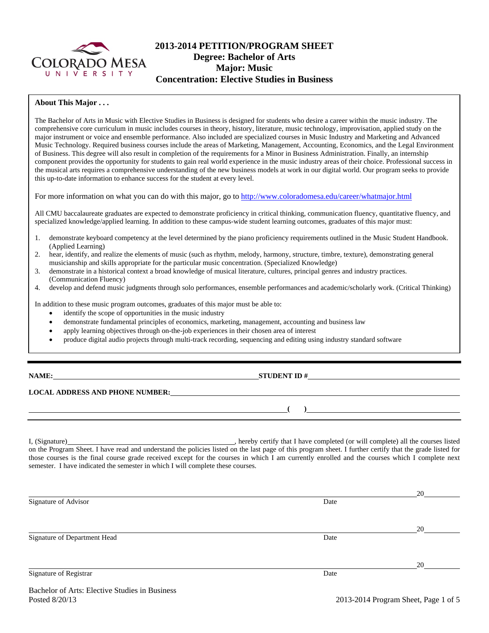

## **2013-2014 PETITION/PROGRAM SHEET Degree: Bachelor of Arts Major: Music Concentration: Elective Studies in Business**

#### **About This Major . . .**

The Bachelor of Arts in Music with Elective Studies in Business is designed for students who desire a career within the music industry. The comprehensive core curriculum in music includes courses in theory, history, literature, music technology, improvisation, applied study on the major instrument or voice and ensemble performance. Also included are specialized courses in Music Industry and Marketing and Advanced Music Technology. Required business courses include the areas of Marketing, Management, Accounting, Economics, and the Legal Environment of Business. This degree will also result in completion of the requirements for a Minor in Business Administration. Finally, an internship component provides the opportunity for students to gain real world experience in the music industry areas of their choice. Professional success in the musical arts requires a comprehensive understanding of the new business models at work in our digital world. Our program seeks to provide this up-to-date information to enhance success for the student at every level.

For more information on what you can do with this major, go to http://www.coloradomesa.edu/career/whatmajor.html

All CMU baccalaureate graduates are expected to demonstrate proficiency in critical thinking, communication fluency, quantitative fluency, and specialized knowledge/applied learning. In addition to these campus-wide student learning outcomes, graduates of this major must:

- 1. demonstrate keyboard competency at the level determined by the piano proficiency requirements outlined in the Music Student Handbook. (Applied Learning)
- 2. hear, identify, and realize the elements of music (such as rhythm, melody, harmony, structure, timbre, texture), demonstrating general musicianship and skills appropriate for the particular music concentration. (Specialized Knowledge)
- 3. demonstrate in a historical context a broad knowledge of musical literature, cultures, principal genres and industry practices. (Communication Fluency)
- 4. develop and defend music judgments through solo performances, ensemble performances and academic/scholarly work. (Critical Thinking)

In addition to these music program outcomes, graduates of this major must be able to:

- identify the scope of opportunities in the music industry
- demonstrate fundamental principles of economics, marketing, management, accounting and business law
- apply learning objectives through on-the-job experiences in their chosen area of interest
- produce digital audio projects through multi-track recording, sequencing and editing using industry standard software

#### **NAME: STUDENT ID #**

## **LOCAL ADDRESS AND PHONE NUMBER:**

I, (Signature) , hereby certify that I have completed (or will complete) all the courses listed on the Program Sheet. I have read and understand the policies listed on the last page of this program sheet. I further certify that the grade listed for those courses is the final course grade received except for the courses in which I am currently enrolled and the courses which I complete next semester. I have indicated the semester in which I will complete these courses.

|                              |      | 20 |
|------------------------------|------|----|
| Signature of Advisor         | Date |    |
|                              |      |    |
|                              |      |    |
|                              |      | 20 |
| Signature of Department Head | Date |    |
|                              |      |    |
|                              |      |    |
|                              |      | 20 |
| Signature of Registrar       | Date |    |
|                              |      |    |

**( )**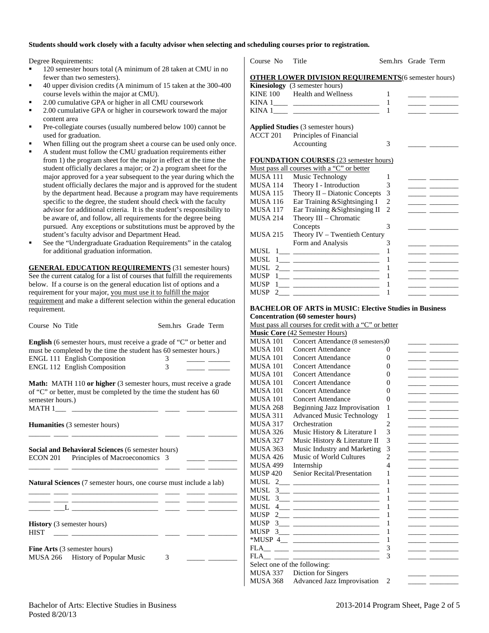### **Students should work closely with a faculty advisor when selecting and scheduling courses prior to registration.**

Degree Requirements:

- 120 semester hours total (A minimum of 28 taken at CMU in no fewer than two semesters).
- 40 upper division credits (A minimum of 15 taken at the 300-400 course levels within the major at CMU).
- 2.00 cumulative GPA or higher in all CMU coursework
- 2.00 cumulative GPA or higher in coursework toward the major content area
- Pre-collegiate courses (usually numbered below 100) cannot be used for graduation.
- When filling out the program sheet a course can be used only once.
- A student must follow the CMU graduation requirements either from 1) the program sheet for the major in effect at the time the student officially declares a major; or 2) a program sheet for the major approved for a year subsequent to the year during which the student officially declares the major and is approved for the student by the department head. Because a program may have requirements specific to the degree, the student should check with the faculty advisor for additional criteria. It is the student's responsibility to be aware of, and follow, all requirements for the degree being pursued. Any exceptions or substitutions must be approved by the student's faculty advisor and Department Head.
- See the "Undergraduate Graduation Requirements" in the catalog for additional graduation information.

**GENERAL EDUCATION REQUIREMENTS** (31 semester hours) See the current catalog for a list of courses that fulfill the requirements below. If a course is on the general education list of options and a requirement for your major, you must use it to fulfill the major requirement and make a different selection within the general education requirement.

| Course No Title                                                             | Sem.hrs Grade Term |
|-----------------------------------------------------------------------------|--------------------|
| <b>English</b> (6 semester hours, must receive a grade of "C" or better and |                    |
| must be completed by the time the student has 60 semester hours.)           |                    |
| <b>ENGL 111 English Composition</b>                                         | $\Delta$           |
| <b>ENGL 112 English Composition</b>                                         |                    |

**Math:** MATH 110 or higher (3 semester hours, must receive a grade of "C" or better, must be completed by the time the student has 60 semester hours.)  $MATH 1$ 

**Humanities** (3 semester hours) \_\_\_\_\_\_ \_\_\_\_ \_\_\_\_\_\_\_\_\_\_\_\_\_\_\_\_\_\_\_\_\_\_\_\_ \_\_\_\_ \_\_\_\_\_ \_\_\_\_\_\_\_\_ **Social and Behavioral Sciences** (6 semester hours) ECON 201 Principles of Macroeconomics 3 \_\_\_\_\_\_ \_\_\_\_ \_\_\_\_\_\_\_\_\_\_\_\_\_\_\_\_\_\_\_\_\_\_\_\_ \_\_\_\_ \_\_\_\_\_ \_\_\_\_\_\_\_\_ **Natural Sciences** (7 semester hours, one course must include a lab) \_\_\_\_\_\_ \_\_\_\_ \_\_\_\_\_\_\_\_\_\_\_\_\_\_\_\_\_\_\_\_\_\_\_\_ \_\_\_\_ \_\_\_\_\_ \_\_\_\_\_\_\_\_ \_\_\_\_\_\_ \_\_\_\_ \_\_\_\_\_\_\_\_\_\_\_\_\_\_\_\_\_\_\_\_\_\_\_\_ \_\_\_\_ \_\_\_\_\_ \_\_\_\_\_\_\_\_  $\_\_$   $\_\_$ **History** (3 semester hours) HIST \_\_\_\_ \_\_\_\_\_\_\_\_\_\_\_\_\_\_\_\_\_\_\_\_\_\_\_\_ \_\_\_\_ \_\_\_\_\_ \_\_\_\_\_\_\_\_ **Fine Arts** (3 semester hours) MUSA 266 History of Popular Music 3

| Course No       | Title                                                       | Sem.hrs Grade Term |                                                                                                                                                                                                                                      |
|-----------------|-------------------------------------------------------------|--------------------|--------------------------------------------------------------------------------------------------------------------------------------------------------------------------------------------------------------------------------------|
|                 | <b>OTHER LOWER DIVISION REQUIREMENTS</b> (6 semester hours) |                    |                                                                                                                                                                                                                                      |
|                 | Kinesiology (3 semester hours)                              |                    |                                                                                                                                                                                                                                      |
|                 | KINE 100 Health and Wellness                                | 1                  |                                                                                                                                                                                                                                      |
|                 |                                                             | 1                  | <u> 1989 - John Barn Barn, mars and de la partie de la partie de la partie de la partie de la partie de la partie de la partie de la partie de la partie de la partie de la partie de la partie de la partie de la partie de la </u> |
|                 |                                                             | 1                  |                                                                                                                                                                                                                                      |
|                 | <b>Applied Studies</b> (3 semester hours)                   |                    |                                                                                                                                                                                                                                      |
| ACCT 201        | Principles of Financial                                     |                    |                                                                                                                                                                                                                                      |
|                 | Accounting                                                  | 3                  |                                                                                                                                                                                                                                      |
|                 |                                                             |                    |                                                                                                                                                                                                                                      |
|                 | <b>FOUNDATION COURSES</b> (23 semester hours)               |                    |                                                                                                                                                                                                                                      |
|                 | Must pass all courses with a "C" or better                  |                    |                                                                                                                                                                                                                                      |
| MUSA 111        | Music Technology                                            | 1                  |                                                                                                                                                                                                                                      |
| MUSA 114        | Theory I - Introduction                                     | 3                  | <u> The Common School and The Common School and The Common School and The Common School and The Common School and</u>                                                                                                                |
| <b>MUSA 115</b> | Theory II - Diatonic Concepts                               | 3                  | <u> 1989 - Johann Barbara, martxa</u>                                                                                                                                                                                                |
| <b>MUSA 116</b> | Ear Training & Sightsinging I                               | $\overline{c}$     | <u> 1989 - John Barn Barnson, prima popular popular prima popular popular popular popular popular popular popular</u>                                                                                                                |
| <b>MUSA 117</b> | Ear Training & Sightsinging II                              | $\overline{2}$     |                                                                                                                                                                                                                                      |
| <b>MUSA 214</b> | Theory III - Chromatic                                      |                    |                                                                                                                                                                                                                                      |
|                 | Concepts                                                    | 3                  | <u> The Common School and The Common School and The Common School and The Common School and</u>                                                                                                                                      |
| <b>MUSA 215</b> | Theory IV - Twentieth Century                               |                    |                                                                                                                                                                                                                                      |
|                 | Form and Analysis                                           | 3                  | <u> Albanya (Albanya Albanya)</u>                                                                                                                                                                                                    |
| MUSL            | $\frac{1}{1}$                                               | 1                  |                                                                                                                                                                                                                                      |
| <b>MUSL</b>     |                                                             | 1                  | <u> 1989 - John Barn Barn, mars a</u>                                                                                                                                                                                                |
| MUSL            | $2 \underline{\hspace{1cm}}$                                | 1                  | <u> The Common School (1989) and the Common School (1989) and the Common School (1989) and the Common School (1989)</u>                                                                                                              |
| <b>MUSP</b>     |                                                             | 1                  |                                                                                                                                                                                                                                      |
| <b>MUSP</b>     |                                                             | 1                  |                                                                                                                                                                                                                                      |
| <b>MUSP</b>     |                                                             | 1                  |                                                                                                                                                                                                                                      |

#### **BACHELOR OF ARTS in MUSIC: Elective Studies in Business Concentration (60 semester hours)**

|                 | <u>Must pass all courses for credit with a "C" or better</u>                                                                                                                                                                                                                                                                         |                          |                                                        |
|-----------------|--------------------------------------------------------------------------------------------------------------------------------------------------------------------------------------------------------------------------------------------------------------------------------------------------------------------------------------|--------------------------|--------------------------------------------------------|
|                 | Music Core (42 Semester Hours)                                                                                                                                                                                                                                                                                                       |                          |                                                        |
| <b>MUSA 101</b> | Concert Attendance (8 semesters)0                                                                                                                                                                                                                                                                                                    |                          |                                                        |
| <b>MUSA 101</b> | <b>Concert Attendance</b>                                                                                                                                                                                                                                                                                                            | $\Omega$                 |                                                        |
| MUSA 101        | <b>Concert Attendance</b>                                                                                                                                                                                                                                                                                                            | $\Omega$                 |                                                        |
| <b>MUSA 101</b> | <b>Concert Attendance</b>                                                                                                                                                                                                                                                                                                            | 0                        |                                                        |
| <b>MUSA 101</b> | <b>Concert Attendance</b>                                                                                                                                                                                                                                                                                                            | 0                        |                                                        |
| <b>MUSA 101</b> | <b>Concert Attendance</b>                                                                                                                                                                                                                                                                                                            | 0                        |                                                        |
| <b>MUSA 101</b> | <b>Concert Attendance</b>                                                                                                                                                                                                                                                                                                            | $\theta$                 |                                                        |
| <b>MUSA 101</b> | <b>Concert Attendance</b>                                                                                                                                                                                                                                                                                                            | 0                        |                                                        |
| <b>MUSA 268</b> | <b>Beginning Jazz Improvisation</b>                                                                                                                                                                                                                                                                                                  | 1                        |                                                        |
| <b>MUSA 311</b> | <b>Advanced Music Technology</b>                                                                                                                                                                                                                                                                                                     | 1                        |                                                        |
| <b>MUSA 317</b> | Orchestration                                                                                                                                                                                                                                                                                                                        | 2                        |                                                        |
| <b>MUSA 326</b> | Music History & Literature I                                                                                                                                                                                                                                                                                                         | 3                        |                                                        |
| <b>MUSA 327</b> | Music History & Literature II                                                                                                                                                                                                                                                                                                        | 3                        |                                                        |
| <b>MUSA 363</b> | Music Industry and Marketing                                                                                                                                                                                                                                                                                                         | 3                        |                                                        |
| <b>MUSA 426</b> | Music of World Cultures                                                                                                                                                                                                                                                                                                              | $\overline{2}$           |                                                        |
| <b>MUSA 499</b> | Internship                                                                                                                                                                                                                                                                                                                           | $\overline{\mathcal{A}}$ |                                                        |
| <b>MUSP 420</b> | Senior Recital/Presentation                                                                                                                                                                                                                                                                                                          | 1                        |                                                        |
|                 |                                                                                                                                                                                                                                                                                                                                      | 1                        |                                                        |
| MUSL            | $\frac{3}{2}$ and $\frac{3}{2}$ and $\frac{3}{2}$ and $\frac{3}{2}$ and $\frac{3}{2}$ and $\frac{3}{2}$ and $\frac{3}{2}$ and $\frac{3}{2}$ and $\frac{3}{2}$ and $\frac{3}{2}$ and $\frac{3}{2}$ and $\frac{3}{2}$ and $\frac{3}{2}$ and $\frac{3}{2}$ and $\frac{3}{2}$ and $\frac{3}{2}$ a                                        | 1                        | <u> 1989 - John Harry John Harry Harry Harry Harry</u> |
| <b>MUSL</b>     |                                                                                                                                                                                                                                                                                                                                      | 1                        |                                                        |
| MUSL            |                                                                                                                                                                                                                                                                                                                                      | 1                        |                                                        |
| MUSP            | $2$ and $\overline{2}$ and $\overline{2}$ and $\overline{2}$ and $\overline{2}$ and $\overline{2}$ and $\overline{2}$ and $\overline{2}$ and $\overline{2}$ and $\overline{2}$ and $\overline{2}$ and $\overline{2}$ and $\overline{2}$ and $\overline{2}$ and $\overline{2}$ and $\overline{2}$ and $\overline{2}$ and $\overline{$ | 1                        |                                                        |
| MUSP            | $\frac{3}{2}$ and $\frac{3}{2}$ and $\frac{3}{2}$ and $\frac{3}{2}$ and $\frac{3}{2}$ and $\frac{3}{2}$ and $\frac{3}{2}$ and $\frac{3}{2}$ and $\frac{3}{2}$ and $\frac{3}{2}$ and $\frac{3}{2}$ and $\frac{3}{2}$ and $\frac{3}{2}$ and $\frac{3}{2}$ and $\frac{3}{2}$ and $\frac{3}{2}$ a                                        | 1                        |                                                        |
| MUSP            | $\frac{3}{2}$                                                                                                                                                                                                                                                                                                                        | 1                        |                                                        |
|                 |                                                                                                                                                                                                                                                                                                                                      | 1                        |                                                        |
|                 |                                                                                                                                                                                                                                                                                                                                      | 3                        |                                                        |
| <b>FLA</b>      |                                                                                                                                                                                                                                                                                                                                      | 3                        |                                                        |
|                 | Select one of the following:                                                                                                                                                                                                                                                                                                         |                          |                                                        |
| MUSA 337        | Diction for Singers                                                                                                                                                                                                                                                                                                                  |                          |                                                        |
| <b>MUSA 368</b> | Advanced Jazz Improvisation                                                                                                                                                                                                                                                                                                          | $\overline{2}$           |                                                        |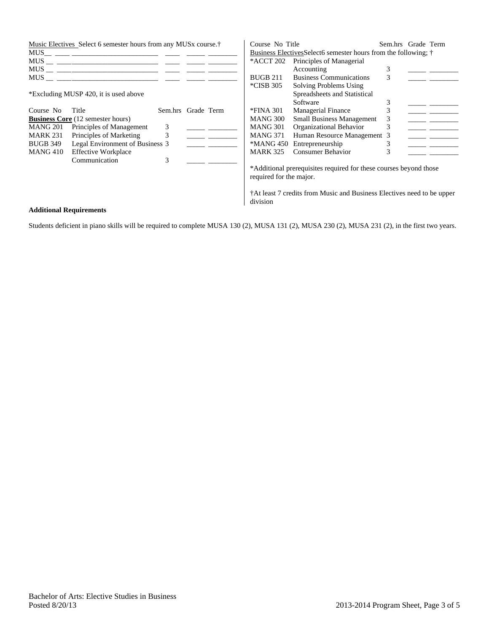|                 | Music Electives Select 6 semester hours from any MUSx course. <sup>†</sup> |                    |  | Course No Title         |                                                                        | Sem.hrs Grade Term |  |
|-----------------|----------------------------------------------------------------------------|--------------------|--|-------------------------|------------------------------------------------------------------------|--------------------|--|
| MUS             | <u> 1988 - Andrea Andrew Maria (h. 1988).</u>                              |                    |  |                         | Business Electives Select 6 semester hours from the following; †       |                    |  |
|                 |                                                                            |                    |  | *ACCT 202               | Principles of Managerial                                               |                    |  |
|                 |                                                                            |                    |  |                         | Accounting                                                             | 3                  |  |
|                 |                                                                            |                    |  | <b>BUGB 211</b>         | <b>Business Communications</b>                                         | 3                  |  |
|                 |                                                                            |                    |  | *CISB 305               | Solving Problems Using                                                 |                    |  |
|                 | *Excluding MUSP 420, it is used above                                      |                    |  |                         | Spreadsheets and Statistical                                           |                    |  |
|                 |                                                                            |                    |  |                         | Software                                                               |                    |  |
| Course No       | Title                                                                      | Sem.hrs Grade Term |  | *FINA 301               | <b>Managerial Finance</b>                                              | 3                  |  |
|                 | <b>Business Core</b> (12 semester hours)                                   |                    |  | MANG 300                | <b>Small Business Management</b>                                       | 3                  |  |
| MANG 201        | Principles of Management                                                   | 3                  |  | MANG 301                | Organizational Behavior                                                | 3                  |  |
| <b>MARK 231</b> | Principles of Marketing                                                    | 3                  |  | MANG 371                | Human Resource Management 3                                            |                    |  |
| <b>BUGB 349</b> | Legal Environment of Business 3                                            |                    |  |                         | *MANG 450 Entrepreneurship                                             |                    |  |
| MANG 410        | <b>Effective Workplace</b>                                                 |                    |  | <b>MARK 325</b>         | <b>Consumer Behavior</b>                                               | 3                  |  |
|                 | Communication                                                              | 3                  |  |                         |                                                                        |                    |  |
|                 |                                                                            |                    |  |                         | *Additional prerequisites required for these courses beyond those      |                    |  |
|                 |                                                                            |                    |  | required for the major. |                                                                        |                    |  |
|                 |                                                                            |                    |  |                         |                                                                        |                    |  |
|                 |                                                                            |                    |  |                         | †At least 7 credits from Music and Business Electives need to be upper |                    |  |
|                 |                                                                            |                    |  | division                |                                                                        |                    |  |

## **Additional Requirements**

Students deficient in piano skills will be required to complete MUSA 130 (2), MUSA 131 (2), MUSA 230 (2), MUSA 231 (2), in the first two years.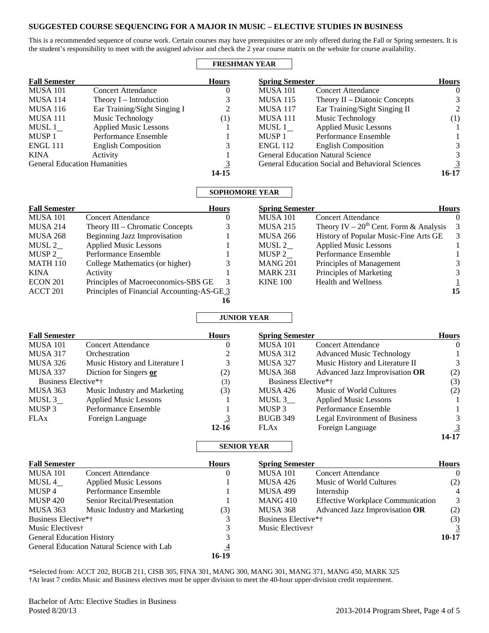## **SUGGESTED COURSE SEQUENCING FOR A MAJOR IN MUSIC – ELECTIVE STUDIES IN BUSINESS**

This is a recommended sequence of course work. Certain courses may have prerequisites or are only offered during the Fall or Spring semesters. It is the student's responsibility to meet with the assigned advisor and check the 2 year course matrix on the website for course availability.

#### **FRESHMAN YEAR**

| <b>Fall Semester</b>                |                              | <b>Hours</b> | <b>Spring Semester</b> |                                                         | <b>Hours</b> |
|-------------------------------------|------------------------------|--------------|------------------------|---------------------------------------------------------|--------------|
| <b>MUSA 101</b>                     | <b>Concert Attendance</b>    |              | <b>MUSA 101</b>        | <b>Concert Attendance</b>                               | $\theta$     |
| <b>MUSA 114</b>                     | Theory I – Introduction      |              | <b>MUSA 115</b>        | Theory $II$ – Diatonic Concepts                         | 3            |
| <b>MUSA 116</b>                     | Ear Training/Sight Singing I | 2            | <b>MUSA 117</b>        | Ear Training/Sight Singing II                           | 2            |
| <b>MUSA 111</b>                     | Music Technology             | (1)          | <b>MUSA 111</b>        | Music Technology                                        | (1)          |
| MUSL 1                              | <b>Applied Music Lessons</b> |              | MUSL 1                 | <b>Applied Music Lessons</b>                            |              |
| MUSP <sub>1</sub>                   | Performance Ensemble         |              | MUSP <sub>1</sub>      | Performance Ensemble                                    |              |
| <b>ENGL 111</b>                     | <b>English Composition</b>   |              | <b>ENGL 112</b>        | <b>English Composition</b>                              |              |
| KINA                                | Activity                     |              |                        | <b>General Education Natural Science</b>                |              |
| <b>General Education Humanities</b> |                              | 3            |                        | <b>General Education Social and Behavioral Sciences</b> |              |
|                                     |                              | 14-15        |                        |                                                         | 16-17        |

### **SOPHOMORE YEAR**

| <b>Fall Semester</b> |                                            | <b>Hours</b> | <b>Spring Semester</b> |                                               | <b>Hours</b> |
|----------------------|--------------------------------------------|--------------|------------------------|-----------------------------------------------|--------------|
| <b>MUSA 101</b>      | <b>Concert Attendance</b>                  | $\theta$     | <b>MUSA 101</b>        | <b>Concert Attendance</b>                     | 0            |
| <b>MUSA 214</b>      | Theory III – Chromatic Concepts            |              | <b>MUSA 215</b>        | Theory IV – $20^{th}$ Cent. Form & Analysis 3 |              |
| <b>MUSA 268</b>      | Beginning Jazz Improvisation               |              | <b>MUSA 266</b>        | History of Popular Music-Fine Arts GE         | 3            |
| MUSL 2               | <b>Applied Music Lessons</b>               |              | MUSL 2                 | <b>Applied Music Lessons</b>                  |              |
| MUSP 2               | Performance Ensemble                       |              | MUSP 2                 | Performance Ensemble                          |              |
| <b>MATH 110</b>      | College Mathematics (or higher)            |              | <b>MANG 201</b>        | Principles of Management                      | 3            |
| <b>KINA</b>          | Activity                                   |              | <b>MARK 231</b>        | Principles of Marketing                       | 3            |
| <b>ECON 201</b>      | Principles of Macroeconomics-SBS GE        | 3            | <b>KINE 100</b>        | <b>Health and Wellness</b>                    |              |
| ACCT 201             | Principles of Financial Accounting-AS-GE 3 |              |                        |                                               | 15           |
|                      |                                            |              |                        |                                               |              |

# **JUNIOR YEAR**

| <b>Fall Semester</b>            |                                | <b>Hours</b> | <b>Spring Semester</b> |                                      | <b>Hours</b> |
|---------------------------------|--------------------------------|--------------|------------------------|--------------------------------------|--------------|
| <b>MUSA 101</b>                 | <b>Concert Attendance</b>      | O            | <b>MUSA 101</b>        | <b>Concert Attendance</b>            | $\Omega$     |
| <b>MUSA 317</b>                 | Orchestration                  |              | MUSA 312               | <b>Advanced Music Technology</b>     |              |
| <b>MUSA 326</b>                 | Music History and Literature I | 3            | <b>MUSA 327</b>        | Music History and Literature II      | 3            |
| <b>MUSA 337</b>                 | Diction for Singers or         | (2)          | <b>MUSA 368</b>        | Advanced Jazz Improvisation OR       | (2)          |
| Business Elective* <sup>†</sup> |                                | (3)          | Business Elective*†    |                                      | (3)          |
| MUSA 363                        | Music Industry and Marketing   | (3)          | <b>MUSA 426</b>        | Music of World Cultures              | (2)          |
| MUSL 3                          | <b>Applied Music Lessons</b>   |              | MUSL 3                 | <b>Applied Music Lessons</b>         |              |
| MUSP <sub>3</sub>               | Performance Ensemble           |              | MUSP <sub>3</sub>      | Performance Ensemble                 |              |
| <b>FLAx</b>                     | Foreign Language               |              | <b>BUGB 349</b>        | <b>Legal Environment of Business</b> | 3.           |
|                                 |                                | $12 - 16$    | <b>FLAx</b>            | Foreign Language                     | 3            |
|                                 |                                |              |                        |                                      | 14-17        |

## **SENIOR YEAR**

| <b>Fall Semester</b>             |                                            | <b>Hours</b> | <b>Spring Semester</b>       |                                          | <b>Hours</b> |
|----------------------------------|--------------------------------------------|--------------|------------------------------|------------------------------------------|--------------|
| <b>MUSA 101</b>                  | <b>Concert Attendance</b>                  | $\theta$     | <b>MUSA 101</b>              | <b>Concert Attendance</b>                | $\Omega$     |
| MUSL 4                           | <b>Applied Music Lessons</b>               |              | <b>MUSA 426</b>              | Music of World Cultures                  | (2)          |
| MUSP 4                           | Performance Ensemble                       |              | <b>MUSA 499</b>              | Internship                               | 4            |
| <b>MUSP 420</b>                  | Senior Recital/Presentation                |              | MANG 410                     | <b>Effective Workplace Communication</b> | 3            |
| MUSA 363                         | Music Industry and Marketing               | (3)          | <b>MUSA 368</b>              | Advanced Jazz Improvisation OR           | (2)          |
| Business Elective*†              |                                            |              | Business Elective*†          |                                          | (3)          |
| Music Electives <sup>†</sup>     |                                            |              | Music Electives <sup>†</sup> |                                          | 3            |
| <b>General Education History</b> |                                            |              |                              |                                          | 10-17        |
|                                  | General Education Natural Science with Lab | 4            |                              |                                          |              |
|                                  |                                            | 16-19        |                              |                                          |              |

\*Selected from: ACCT 202, BUGB 211, CISB 305, FINA 301, MANG 300, MANG 301, MANG 371, MANG 450, MARK 325 †At least 7 credits Music and Business electives must be upper division to meet the 40-hour upper-division credit requirement.